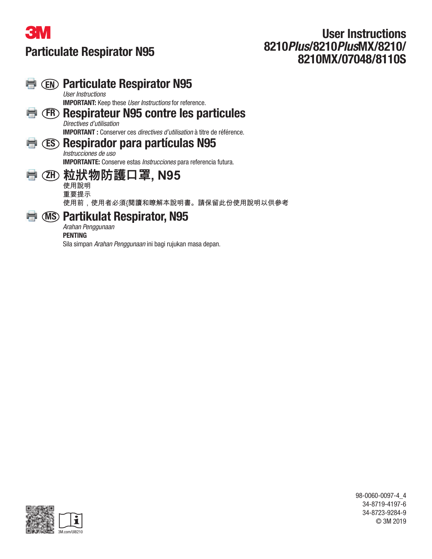

# User Instructions 8210Plus/8210PlusMX/8210/ 8210MX/07048/8110S

#### Particulate Respirator N95 ١ User Instructions IMPORTANT: Keep these User Instructions for reference. ER Respirateur N95 contre les particules Directives d'utilisation IMPORTANT : Conserver ces directives d'utilisation à titre de référence. ES Respirador para partículas N95 Instrucciones de uso IMPORTANTE: Conserve estas Instrucciones para referencia futura. **粒狀物防護口罩, N95** ZH 使用說明 重要提示 使用前,使用者必須{閱讀和瞭解本說明書。請保留此份使用說明以供參考 MS Partikulat Respirator, N95 Arahan Penggunaan

## PENTING

Sila simpan Arahan Penggunaan ini bagi rujukan masa depan.



98-0060-0097-4\_4 34-8719-4197-6 34-8723-9284-9 © 3M 2019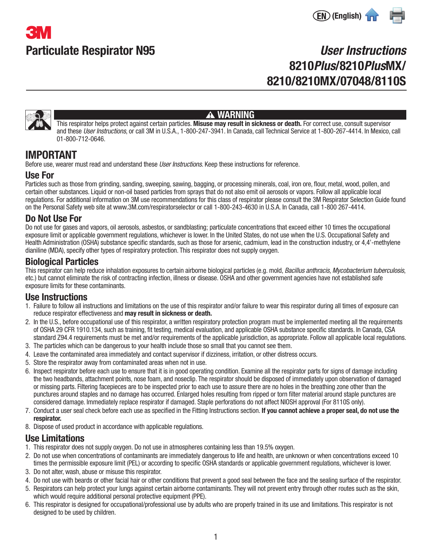



# User Instructions 8210Plus/8210PlusMX/ 8210/8210MX/07048/8110S



#### A WARNING

This respirator helps protect against certain particles. Misuse may result in sickness or death. For correct use, consult supervisor and these User Instructions, or call 3M in U.S.A., 1-800-247-3941. In Canada, call Technical Service at 1-800-267-4414. In Mexico, call 01-800-712-0646.

# IMPORTANT

Before use, wearer must read and understand these *User Instructions*. Keep these instructions for reference.

#### Use For

Particles such as those from grinding, sanding, sweeping, sawing, bagging, or processing minerals, coal, iron ore, flour, metal, wood, pollen, and certain other substances. Liquid or non-oil based particles from sprays that do not also emit oil aerosols or vapors. Follow all applicable local regulations. For additional information on 3M use recommendations for this class of respirator please consult the 3M Respirator Selection Guide found on the Personal Safety web site at www.3M.com/respiratorselector or call 1-800-243-4630 in U.S.A. In Canada, call 1-800 267-4414.

### Do Not Use For

Do not use for gases and vapors, oil aerosols, asbestos, or sandblasting; particulate concentrations that exceed either 10 times the occupational exposure limit or applicable government regulations, whichever is lower. In the United States, do not use when the U.S. Occupational Safety and Health Administration (OSHA) substance specific standards, such as those for arsenic, cadmium, lead in the construction industry, or 4,4'-methylene dianiline (MDA), specify other types of respiratory protection. This respirator does not supply oxygen.

# Biological Particles

This respirator can help reduce inhalation exposures to certain airborne biological particles (e.g. mold, Bacillus anthracis, Mycobacterium tuberculosis, etc.) but cannot eliminate the risk of contracting infection, illness or disease. OSHA and other government agencies have not established safe exposure limits for these contaminants.

# Use Instructions

- 1. Failure to follow all instructions and limitations on the use of this respirator and/or failure to wear this respirator during all times of exposure can reduce respirator effectiveness and may result in sickness or death.
- 2. In the U.S., before occupational use of this respirator, a written respiratory protection program must be implemented meeting all the requirements of OSHA 29 CFR 1910.134, such as training, fit testing, medical evaluation, and applicable OSHA substance specific standards. In Canada, CSA standard Z94.4 requirements must be met and/or requirements of the applicable jurisdiction, as appropriate. Follow all applicable local regulations.
- 3. The particles which can be dangerous to your health include those so small that you cannot see them.
- 4. Leave the contaminated area immediately and contact supervisor if dizziness, irritation, or other distress occurs.
- 5. Store the respirator away from contaminated areas when not in use.
- 6. Inspect respirator before each use to ensure that it is in good operating condition. Examine all the respirator parts for signs of damage including the two headbands, attachment points, nose foam, and noseclip. The respirator should be disposed of immediately upon observation of damaged or missing parts. Filtering facepieces are to be inspected prior to each use to assure there are no holes in the breathing zone other than the punctures around staples and no damage has occurred. Enlarged holes resulting from ripped or torn filter material around staple punctures are considered damage. Immediately replace respirator if damaged. Staple perforations do not affect NIOSH approval (For 8110S only).
- 7. Conduct a user seal check before each use as specified in the Fitting Instructions section. If you cannot achieve a proper seal, do not use the respirator.
- 8. Dispose of used product in accordance with applicable regulations.

### Use Limitations

- 1. This respirator does not supply oxygen. Do not use in atmospheres containing less than 19.5% oxygen.
- 2. Do not use when concentrations of contaminants are immediately dangerous to life and health, are unknown or when concentrations exceed 10 times the permissible exposure limit (PEL) or according to specific OSHA standards or applicable government regulations, whichever is lower.
- 3. Do not alter, wash, abuse or misuse this respirator.
- 4. Do not use with beards or other facial hair or other conditions that prevent a good seal between the face and the sealing surface of the respirator.
- 5. Respirators can help protect your lungs against certain airborne contaminants. They will not prevent entry through other routes such as the skin, which would require additional personal protective equipment (PPE).
- 6. This respirator is designed for occupational/professional use by adults who are properly trained in its use and limitations. This respirator is not designed to be used by children.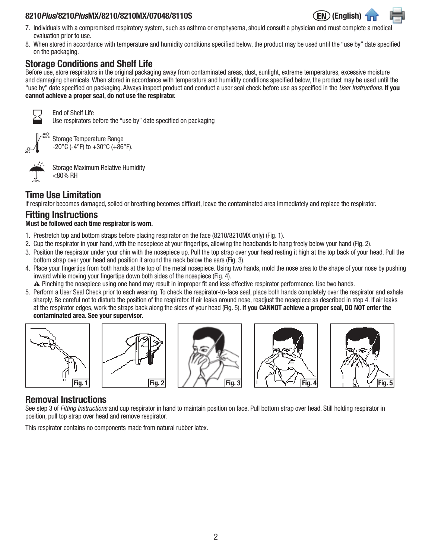#### 8210Plus/8210PlusMX/8210/8210MX/07048/8110S



- 7. Individuals with a compromised respiratory system, such as asthma or emphysema, should consult a physician and must complete a medical evaluation prior to use.
- 8. When stored in accordance with temperature and humidity conditions specified below, the product may be used until the "use by" date specified on the packaging.

# Storage Conditions and Shelf Life

Before use, store respirators in the original packaging away from contaminated areas, dust, sunlight, extreme temperatures, excessive moisture and damaging chemicals. When stored in accordance with temperature and humidity conditions specified below, the product may be used until the "use by" date specified on packaging. Always inspect product and conduct a user seal check before use as specified in the *User Instructions*. If you cannot achieve a proper seal, do not use the respirator.



End of Shelf Life Use respirators before the "use by" date specified on packaging



Storage Temperature Range  $-20\degree$ C (-4 $\degree$ F) to  $+30\degree$ C (+86 $\degree$ F).



Storage Maximum Relative Humidity <80% RH

# Time Use Limitation

If respirator becomes damaged, soiled or breathing becomes difficult, leave the contaminated area immediately and replace the respirator.

# Fitting Instructions

#### Must be followed each time respirator is worn.

- 1. Prestretch top and bottom straps before placing respirator on the face (8210/8210MX only) (Fig. 1).
- 2. Cup the respirator in your hand, with the nosepiece at your fingertips, allowing the headbands to hang freely below your hand (Fig. 2).
- 3. Position the respirator under your chin with the nosepiece up. Pull the top strap over your head resting it high at the top back of your head. Pull the bottom strap over your head and position it around the neck below the ears (Fig. 3).
- 4. Place your fingertips from both hands at the top of the metal nosepiece. Using two hands, mold the nose area to the shape of your nose by pushing inward while moving your fingertips down both sides of the nosepiece (Fig. 4).
	- W Pinching the nosepiece using one hand may result in improper fit and less effective respirator performance. Use two hands.
- 5. Perform a User Seal Check prior to each wearing. To check the respirator-to-face seal, place both hands completely over the respirator and exhale sharply. Be careful not to disturb the position of the respirator. If air leaks around nose, readjust the nosepiece as described in step 4. If air leaks at the respirator edges, work the straps back along the sides of your head (Fig. 5). If you CANNOT achieve a proper seal, DO NOT enter the contaminated area. See your supervisor.



# Removal Instructions

See step 3 of Fitting Instructions and cup respirator in hand to maintain position on face. Pull bottom strap over head. Still holding respirator in position, pull top strap over head and remove respirator.

This respirator contains no components made from natural rubber latex.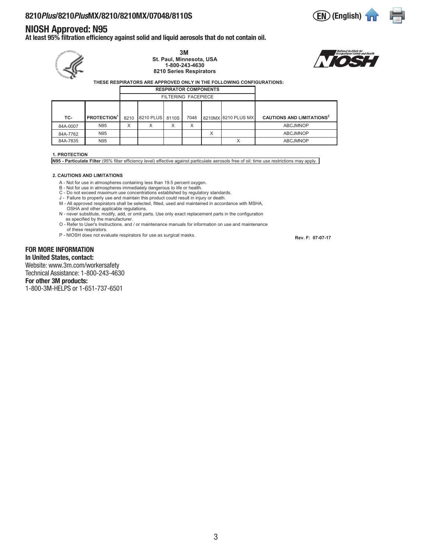#### NIOSH Approved: N95

At least 95% filtration efficiency against solid and liquid aerosols that do not contain oil.

 **THESE RESPIRATORS ARE APPROVED ONLY IN THE FOLLOWING CONFIGURATIONS: TC- PROTECTION<sup>1</sup>** 8210 8210 PLUS 8110S 7048 8210MX 8210 PLUS MX **CAUTIONS AND LIMITATIONS<sup>2</sup>** 84A-0007 | N95 | X | X | X | X | | | ABCJMNOP 84A-7762 N95 N | | | | X | ABCJMNOP 84A-7835 | N95 | | | | | | | | X | ABCJMNOP FILTERING FACEPIECE **RESPIRATOR COMPONENTS 3M St. Paul, Minnesota, USA 1-800-243-4630 8210 Series Respirators**

#### **1. PROTECTION**

**N95 - Particulate Filter** (95% filter efficiency level) effective against particulate aerosols free of oil; time use restrictions may apply.

#### **2. CAUTIONS AND LIMITATIONS**

- A Not for use in atmospheres containing less than 19.5 percent oxygen.
- B Not for use in atmospheres immediately dangerous to life or health.
- C Do not exceed maximum use concentrations established by regulatory standards. J Failure to properly use and maintain this product could result in injury or death.
- M All approved respirators shall be selected, fitted, used and maintained in accordance with MSHA, OSHA and other applicable regulations.
- N never substitute, modify, add, or omit parts. Use only exact replacement parts in the configuration as specified by the manufacturer.
- O Refer to User's Instructions, and / or maintenance manuals for information on use and maintenance of these respirators.
- P NIOSH does not evaluate respirators for use as surgical masks.

FOR MORE INFORMATION In United States, contact: Website: www.3m.com/workersafety

Technical Assistance: 1-800-243-4630 For other 3M products:

1-800-3M-HELPS or 1-651-737-6501

 **Rev. F: 07-07-17**

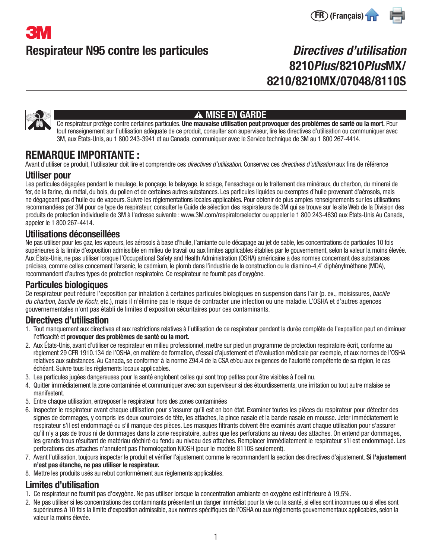

# Directives d'utilisation 8210Plus/8210PlusMX/ 8210/8210MX/07048/8110S



# A MISE EN GARDE

Ce respirateur protège contre certaines particules. Une mauvaise utilisation peut provoquer des problèmes de santé ou la mort. Pour tout renseignement sur l'utilisation adéquate de ce produit, consulter son superviseur, lire les directives d'utilisation ou communiquer avec 3M, aux États-Unis, au 1 800 243-3941 et au Canada, communiquer avec le Service technique de 3M au 1 800 267-4414.

# REMARQUE IMPORTANTE :

Avant d'utiliser ce produit, l'utilisateur doit lire et comprendre ces *directives d'utilisation*, Conservez ces *directives d'utilisation* aux fins de référence

#### Utiliser pour

Les particules dégagées pendant le meulage, le ponçage, le balayage, le sciage, l'ensachage ou le traitement des minéraux, du charbon, du minerai de fer, de la farine, du métal, du bois, du pollen et de certaines autres substances. Les particules liquides ou exemptes d'huile provenant d'aérosols, mais ne dégageant pas d'huile ou de vapeurs. Suivre les réglementations locales applicables. Pour obtenir de plus amples renseignements sur les utilisations recommandées par 3M pour ce type de respirateur, consulter le Guide de sélection des respirateurs de 3M qui se trouve sur le site Web de la Division des produits de protection individuelle de 3M à l'adresse suivante : www.3M.com/respiratorselector ou appeler le 1 800 243-4630 aux États-Unis Au Canada, appeler le 1 800 267-4414.

### Utilisations déconseillées

Ne pas utiliser pour les gaz, les vapeurs, les aérosols à base d'huile, l'amiante ou le décapage au jet de sable, les concentrations de particules 10 fois supérieures à la limite d'exposition admissible en milieu de travail ou aux limites applicables établies par le gouvernement, selon la valeur la moins élevée. Aux États-Unis, ne pas utiliser lorsque l'Occupational Safety and Health Administration (OSHA) américaine a des normes concernant des substances précises, comme celles concernant l'arsenic, le cadmium, le plomb dans l'industrie de la construction ou le diamino-4,4' diphénylméthane (MDA), recommandent d'autres types de protection respiratoire. Ce respirateur ne fournit pas d'oxygène.

## Particules biologiques

Ce respirateur peut réduire l'exposition par inhalation à certaines particules biologiques en suspension dans l'air (p. ex., moisissures, bacille du charbon, bacille de Koch, etc.), mais il n'élimine pas le risque de contracter une infection ou une maladie. L'OSHA et d'autres agences gouvernementales n'ont pas établi de limites d'exposition sécuritaires pour ces contaminants.

# Directives d'utilisation

- 1. Tout manquement aux directives et aux restrictions relatives à l'utilisation de ce respirateur pendant la durée complète de l'exposition peut en diminuer l'efficacité et provoquer des problèmes de santé ou la mort.
- 2. Aux États-Unis, avant d'utiliser ce respirateur en milieu professionnel, mettre sur pied un programme de protection respiratoire écrit, conforme au règlement 29 CFR 1910.134 de l'OSHA, en matière de formation, d'essai d'ajustement et d'évaluation médicale par exemple, et aux normes de l'OSHA relatives aux substances. Au Canada, se conformer à la norme Z94.4 de la CSA et/ou aux exigences de l'autorité compétente de sa région, le cas échéant. Suivre tous les règlements locaux applicables.
- 3. Les particules jugées dangereuses pour la santé englobent celles qui sont trop petites pour être visibles à l'oeil nu.
- 4. Quitter immédiatement la zone contaminée et communiquer avec son superviseur si des étourdissements, une irritation ou tout autre malaise se manifestent.
- 5. Entre chaque utilisation, entreposer le respirateur hors des zones contaminées
- 6. Inspecter le respirateur avant chaque utilisation pour s'assurer qu'il est en bon état. Examiner toutes les pièces du respirateur pour détecter des signes de dommages, y compris les deux courroies de tête, les attaches, la pince nasale et la bande nasale en mousse. Jeter immédiatement le respirateur s'il est endommagé ou s'il manque des pièces. Les masques filtrants doivent être examinés avant chaque utilisation pour s'assurer qu'il n'y a pas de trous ni de dommages dans la zone respiratoire, autres que les perforations au niveau des attaches. On entend par dommages, les grands trous résultant de matériau déchiré ou fendu au niveau des attaches. Remplacer immédiatement le respirateur s'il est endommagé. Les perforations des attaches n'annulent pas l'homologation NIOSH (pour le modèle 8110S seulement).
- 7. Avant l'utilisation, toujours inspecter le produit et vérifier l'ajustement comme le recommandent la section des directives d'ajustement. Si l'ajustement n'est pas étanche, ne pas utiliser le respirateur.
- 8. Mettre les produits usés au rebut conformément aux règlements applicables.

## Limites d'utilisation

- 1. Ce respirateur ne fournit pas d'oxygène. Ne pas utiliser lorsque la concentration ambiante en oxygène est inférieure à 19,5%.
- 2. Ne pas utiliser si les concentrations des contaminants présentent un danger immédiat pour la vie ou la santé, si elles sont inconnues ou si elles sont supérieures à 10 fois la limite d'exposition admissible, aux normes spécifiques de l'OSHA ou aux règlements gouvernementaux applicables, selon la valeur la moins élevée.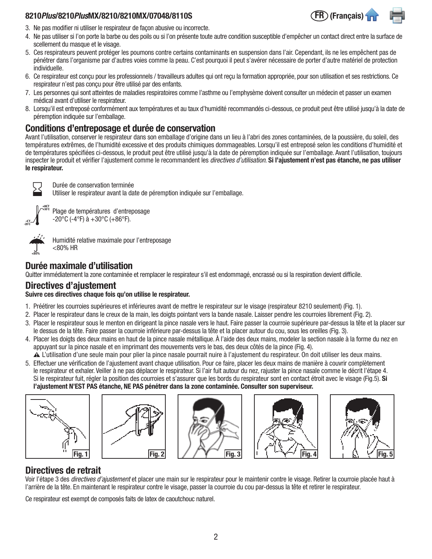#### 8210 Plus/8210 PlusMX/8210/8210MX/07048/8110S

- 3. Ne pas modifier ni utiliser le respirateur de façon abusive ou incorrecte.
- 4. Ne pas utiliser si l'on porte la barbe ou des poils ou si l'on présente toute autre condition susceptible d'empêcher un contact direct entre la surface de scellement du masque et le visage.
- 5. Ces respirateurs peuvent protéger les poumons contre certains contaminants en suspension dans l'air. Cependant, ils ne les empêchent pas de pénétrer dans l'organisme par d'autres voies comme la peau. C'est pourquoi il peut s'avérer nécessaire de porter d'autre matériel de protection individuelle.
- 6. Ce respirateur est conçu pour les professionnels / travailleurs adultes qui ont reçu la formation appropriée, pour son utilisation et ses restrictions. Ce respirateur n'est pas conçu pour être utilisé par des enfants.
- 7. Les personnes qui sont atteintes de maladies respiratoires comme l'asthme ou l'emphysème doivent consulter un médecin et passer un examen médical avant d'utiliser le respirateur.
- 8. Lorsqu'il est entreposé conformément aux températures et au taux d'humidité recommandés ci-dessous, ce produit peut être utilisé jusqu'à la date de péremption indiquée sur l'emballage.

### Conditions d'entreposage et durée de conservation

Avant l'utilisation, conserver le respirateur dans son emballage d'origine dans un lieu à l'abri des zones contaminées, de la poussière, du soleil, des températures extrêmes, de l'humidité excessive et des produits chimiques dommageables. Lorsqu'il est entreposé selon les conditions d'humidité et de températures spécifiées ci-dessous, le produit peut être utilisé jusqu'à la date de péremption indiquée sur l'emballage. Avant l'utilisation, toujours inspecter le produit et vérifier l'ajustement comme le recommandent les *directives d'utilisation*. Si l'ajustement n'est pas étanche, ne pas utiliser le respirateur.



Durée de conservation terminée

Utiliser le respirateur avant la date de péremption indiquée sur l'emballage.

+86˚F +30˚C -4˚F -20˚C

Plage de températures d'entreposage  $-20\degree$ C (-4 $\degree$ F) à  $+30\degree$ C (+86 $\degree$ F).

| ℁<br>80 |  |  |  |  |  |  |  |
|---------|--|--|--|--|--|--|--|

Humidité relative maximale pour l'entreposage <80% HR

## Durée maximale d'utilisation

Quitter immédiatement la zone contaminée et remplacer le respirateur s'il est endommagé, encrassé ou si la respiration devient difficile.

# Directives d'ajustement

#### Suivre ces directives chaque fois qu'on utilise le respirateur.

- 1. Préétirer les courroies supérieures et inférieures avant de mettre le respirateur sur le visage (respirateur 8210 seulement) (Fig. 1).
- 2. Placer le respirateur dans le creux de la main, les doigts pointant vers la bande nasale. Laisser pendre les courroies librement (Fig. 2).
- 3. Placer le respirateur sous le menton en dirigeant la pince nasale vers le haut. Faire passer la courroie supérieure par-dessus la tête et la placer sur le dessus de la tête. Faire passer la courroie inférieure par-dessus la tête et la placer autour du cou, sous les oreilles (Fig. 3).
- 4. Placer les doigts des deux mains en haut de la pince nasale métallique. À l'aide des deux mains, modeler la section nasale à la forme du nez en appuyant sur la pince nasale et en imprimant des mouvements vers le bas, des deux côtés de la pince (Fig. 4).
- W L'utilisation d'une seule main pour plier la pince nasale pourrait nuire à l'ajustement du respirateur. On doit utiliser les deux mains.
- 5. Effectuer une vérification de l'ajustement avant chaque utilisation. Pour ce faire, placer les deux mains de manière à couvrir complètement le respirateur et exhaler. Veiller à ne pas déplacer le respirateur. Si l'air fuit autour du nez, rajuster la pince nasale comme le décrit l'étape 4. Si le respirateur fuit, régler la position des courroies et s'assurer que les bords du respirateur sont en contact étroit avec le visage (Fig.5). Si l'ajustement N'EST PAS étanche, NE PAS pénétrer dans la zone contaminée. Consulter son superviseur.











# Directives de retrait

Voir l'étape 3 des *directives d'ajustement* et placer une main sur le respirateur pour le maintenir contre le visage. Retirer la courroie placée haut à l'arrière de la tête. En maintenant le respirateur contre le visage, passer la courroie du cou par-dessus la tête et retirer le respirateur.

Ce respirateur est exempt de composés faits de latex de caoutchouc naturel.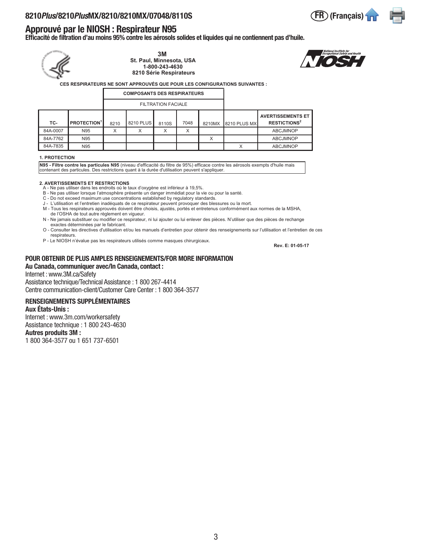# Approuvé par le NIOSH : Respirateur N95

Efficacité de filtration d'au moins 95% contre les aérosols solides et liquides qui ne contiennent pas d'huile.



**3M St. Paul, Minnesota, USA 1-800-243-4630 8210 Série Respirateurs**



**CES RESPIRATEURS NE SONT APPROUVÉS QUE POUR LES CONFIGURATIONS SUIVANTES :**

| <b>COMPOSANTS DES RESPIRATEURS</b> |                               |      |           |                           |                  |        |              |                                                            |
|------------------------------------|-------------------------------|------|-----------|---------------------------|------------------|--------|--------------|------------------------------------------------------------|
|                                    |                               |      |           | <b>FILTRATION FACIALE</b> |                  |        |              |                                                            |
| TC-                                | <b>PROTECTION<sup>1</sup></b> | 8210 | 8210 PLUS | 8110S                     | 7048             | 8210MX | 8210 PLUS MX | <b>AVERTISSEMENTS ET</b><br><b>RESTICTIONS<sup>2</sup></b> |
| 84A-0007                           | N95                           | ◡    | X         |                           | $\check{ }$<br>ᄉ |        |              | <b>ABCJMNOP</b>                                            |
| 84A-7762                           | N95                           |      |           |                           |                  | X      |              | <b>ABCJMNOP</b>                                            |
| 84A-7835                           | N95                           |      |           |                           |                  |        |              | <b>ABCJMNOP</b>                                            |

#### **1. PROTECTION**

**N95 - Filtre contre les particules N95** (niveau d'efficacité du filtre de 95%) efficace contre les aérosols exempts d'huile mais<br>contenant des particules. Des restrictions quant à la durée d'utilisation peuvent s'applique

- **2. AVERTISSEMENTS ET RESTRICTIONS** A Ne pas utiliser dans les endroits où le taux d'oxygène est inférieur à 19,5%.
- B Ne pas utiliser lorsque l'atmosphère présente un danger immédiat pour la vie ou pour la santé. C Do not exceed maximum use concentrations established by regulatory standards.
- J L'utilisation et l'entretien inadéquats de ce respirateur peuvent provoquer des blessures ou la mort.
- M Tous les respirateurs approuvés doivent être choisis, ajustés, portés et entretenus conformément aux normes de la MSHA, de l'OSHA de tout autre règlement en vigueur.
- N Ne jamais substituer ou modifier ce respirateur, ni lui ajouter ou lui enlever des pièces. N'utiliser que des pièces de rechange exactes déterminées par le fabricant.
- O Consulter les directives d'utilisation et/ou les manuels d'entretien pour obtenir des renseignements sur l'utilisation et l'entretien de ces respirateurs.
- P Le NIOSH n'évalue pas les respirateurs utilisés comme masques chirurgicaux.

 **Rev. E: 01-05-17**

#### POUR OBTENIR DE PLUS AMPLES RENSEIGNEMENTS/FOR MORE INFORMATION Au Canada, communiquer avec/In Canada, contact :

#### Internet : www.3M.ca/Safety

Assistance technique/Technical Assistance : 1 800 267-4414 Centre communication-client/Customer Care Center : 1 800 364-3577

#### RENSEIGNEMENTS SUPPLÉMENTAIRES

#### Aux États-Unis :

Internet : www.3m.com/workersafety Assistance technique : 1 800 243-4630 Autres produits 3M :

1 800 364-3577 ou 1 651 737-6501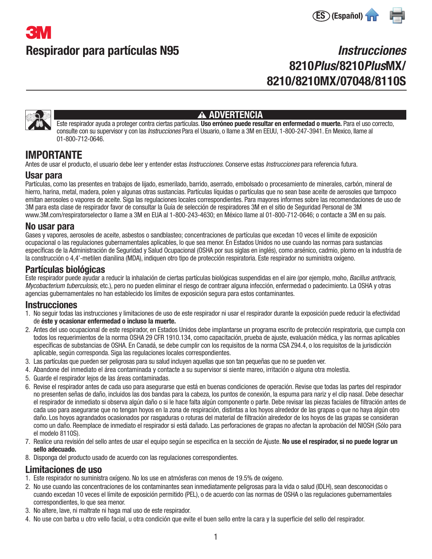



# **Instrucciones** 8210Plus/8210PlusMX/ 8210/8210MX/07048/8110S



#### **A ADVERTENCIA**

Este respirador ayuda a proteger contra ciertas partículas. Uso erróneo puede resultar en enfermedad o muerte. Para el uso correcto, consulte con su supervisor y con las *Instrucciones* Para el Usuario, o llame a 3M en EEUU, 1-800-247-3941. En Mexico, llame al 01-800-712-0646.

# IMPORTANTE

Antes de usar el producto, el usuario debe leer y entender estas *Instrucciones*. Conserve estas *Instrucciones* para referencia futura.

#### Usar para

Partículas, como las presentes en trabajos de lijado, esmerilado, barrido, aserrado, embolsado o procesamiento de minerales, carbón, mineral de hierro, harina, metal, madera, polen y algunas otras sustancias. Partículas líquidas o partículas que no sean base aceite de aerosoles que tampoco emitan aerosoles o vapores de aceite. Siga las regulaciones locales correspondientes. Para mayores informes sobre las recomendaciones de uso de 3M para esta clase de respirador favor de consultar la Guía de selección de respiradores 3M en el sitio de Seguridad Personal de 3M www.3M.com/respiratorselector o llame a 3M en EUA al 1-800-243-4630; en México llame al 01-800-712-0646; o contacte a 3M en su país.

#### No usar para

Gases y vapores, aerosoles de aceite, asbestos o sandblasteo; concentraciones de partículas que excedan 10 veces el límite de exposición ocupacional o las regulaciones gubernamentales aplicables, lo que sea menor. En Estados Unidos no use cuando las normas para sustancias específicas de la Administración de Seguridad y Salud Ocupacional (OSHA por sus siglas en inglés), como arsénico, cadmio, plomo en la industria de la construcción o 4,4'-metilen dianilina (MDA), indiquen otro tipo de protección respiratoria. Este respirador no suministra oxígeno.

### Partículas biológicas

Este respirador puede ayudar a reducir la inhalación de ciertas partículas biológicas suspendidas en el aire (por ejemplo, moho, Bacillus anthracis, Mycobacterium tuberculosis, etc.), pero no pueden eliminar el riesgo de contraer alguna infección, enfermedad o padecimiento. La OSHA y otras agencias gubernamentales no han establecido los límites de exposición segura para estos contaminantes.

#### **Instrucciones**

- 1. No seguir todas las instrucciones y limitaciones de uso de este respirador ni usar el respirador durante la exposición puede reducir la efectividad de éste y ocasionar enfermedad o incluso la muerte.
- 2. Antes del uso ocupacional de este respirador, en Estados Unidos debe implantarse un programa escrito de protección respiratoria, que cumpla con todos los requerimientos de la norma OSHA 29 CFR 1910.134, como capacitación, prueba de ajuste, evaluación médica, y las normas aplicables específicas de substancias de OSHA. En Canadá, se debe cumplir con los requisitos de la norma CSA Z94.4, o los requisitos de la jurisdicción aplicable, según corresponda. Siga las regulaciones locales correspondientes.
- 3. Las partículas que pueden ser peligrosas para su salud incluyen aquellas que son tan pequeñas que no se pueden ver.
- 4. Abandone del inmediato el área contaminada y contacte a su supervisor si siente mareo, irritación o alguna otra molestia.
- 5. Guarde el respirador lejos de las áreas contaminadas.
- 6. Revise el respirador antes de cada uso para asegurarse que está en buenas condiciones de operación. Revise que todas las partes del respirador no presenten señas de daño, incluidos las dos bandas para la cabeza, los puntos de conexión, la espuma para nariz y el clip nasal. Debe desechar el respirador de inmediato si observa algún daño o si le hace falta algún componente o parte. Debe revisar las piezas faciales de filtración antes de cada uso para asegurarse que no tengan hoyos en la zona de respiración, distintas a los hoyos alrededor de las grapas o que no haya algún otro daño. Los hoyos agrandados ocasionados por rasgaduras o roturas del material de filtración alrededor de los hoyos de las grapas se consideran como un daño. Reemplace de inmediato el respirador si está dañado. Las perforaciones de grapas no afectan la aprobación del NIOSH (Sólo para el modelo 8110S).
- 7. Realice una revisión del sello antes de usar el equipo según se especifica en la sección de Ajuste. No use el respirador, si no puede lograr un sello adecuado.
- 8. Disponga del producto usado de acuerdo con las regulaciones correspondientes.

### Limitaciones de uso

- 1. Este respirador no suministra oxígeno. No los use en atmósferas con menos de 19.5% de oxígeno.
- 2. No use cuando las concentraciones de los contaminantes sean inmediatamente peligrosas para la vida o salud (IDLH), sean desconocidas o cuando excedan 10 veces el límite de exposición permitido (PEL), o de acuerdo con las normas de OSHA o las regulaciones gubernamentales correspondientes, lo que sea menor.
- 3. No altere, lave, ni maltrate ni haga mal uso de este respirador.
- 4. No use con barba u otro vello facial, u otra condición que evite el buen sello entre la cara y la superficie del sello del respirador.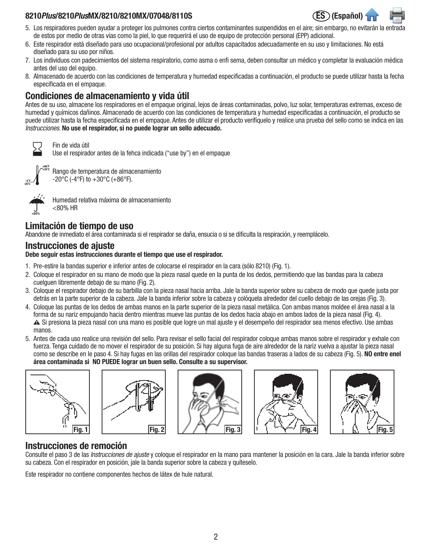#### 8210Plus/8210PlusMX/8210/8210MX/07048/8110S ES (Español)



- 5. Los respiradores pueden ayudar a proteger los pulmones contra ciertos contaminantes suspendidos en el aire; sin embargo, no evitarán la entrada de estos por medio de otras vías como la piel, lo que requerirá el uso de equipo de protección personal (EPP) adicional.
- 6. Este respirador está diseñado para uso ocupacional/profesional por adultos capacitados adecuadamente en su uso y limitaciones. No está diseñado para su uso por niños.
- 7. Los individuos con padecimientos del sistema respiratorio, como asma o enfi sema, deben consultar un médico y completar la evaluación médica antes del uso del equipo.
- 8. Almacenado de acuerdo con las condiciones de temperatura y humedad especificadas a continuación, el producto se puede utilizar hasta la fecha especificada en el empaque.

## Condiciones de almacenamiento y vida útil

Antes de su uso, almacene los respiradores en el empaque original, lejos de áreas contaminadas, polvo, luz solar, temperaturas extremas, exceso de humedad y químicos dañinos. Almacenado de acuerdo con las condiciones de temperatura y humedad especificadas a continuación, el producto se puede utilizar hasta la fecha especificada en el empaque. Antes de utilizar el producto verifíquelo y realice una prueba del sello como se indica en las Instrucciones. No use el respirador, si no puede lograr un sello adecuado.

Fin de vida útil

Use el respirador antes de la fehca indicada ("use by") en el empaque



Rango de temperatura de almacenamiento -20°C (-4°F) to  $+30$ °C (+86°F).



Humedad relativa máxima de almacenamiento <80% HR

## Limitación de tiempo de uso

Abandone de inmediato el área contaminada si el respirador se daña, ensucia o si se dificulta la respiración, y reemplácelo.

### Instrucciones de ajuste

Debe seguir estas instrucciones durante el tiempo que use el respirador.

- 1. Pre-estire la bandas superior e inferior antes de colocarse el respirador en la cara (sólo 8210) (Fig. 1).
- 2. Coloque el respirador en su mano de modo que la pieza nasal quede en la punta de los dedos, permitiendo que las bandas para la cabeza cuelguen libremente debajo de su mano (Fig. 2).
- 3. Coloque el respirador debajo de su barbilla con la pieza nasal hacia arriba. Jale la banda superior sobre su cabeza de modo que quede justa por detrás en la parte superior de la cabeza. Jale la banda inferior sobre la cabeza y colóquela alrededor del cuello debajo de las orejas (Fig. 3).
- 4. Coloque las puntas de los dedos de ambas manos en la parte superior de la pieza nasal metálica. Con ambas manos moldee el área nasal a la forma de su nariz empujando hacia dentro mientras mueve las puntas de los dedos hacia abajo en ambos lados de la pieza nasal (Fig. 4). W Si presiona la pieza nasal con una mano es posible que logre un mal ajuste y el desempeño del respirador sea menos efectivo. Use ambas manos.
- 5. Antes de cada uso realice una revisión del sello. Para revisar el sello facial del respirador coloque ambas manos sobre el respirador y exhale con fuerza. Tenga cuidado de no mover el respirador de su posición. Si hay alguna fuga de aire alrededor de la nariz vuelva a ajustar la pieza nasal como se describe en le paso 4. Si hay fugas en las orillas del respirador coloque las bandas traseras a lados de su cabeza (Fig. 5). NO entre enel área contaminada si NO PUEDE lograr un buen sello. Consulte a su supervisor.











## Instrucciones de remoción

Consulte el paso 3 de las *Instrucciones de ajuste* y coloque el respirador en la mano para mantener la posición en la cara. Jale la banda inferior sobre su cabeza. Con el respirador en posición, jale la banda superior sobre la cabeza y quíteselo.

Este respirador no contiene componentes hechos de látex de hule natural.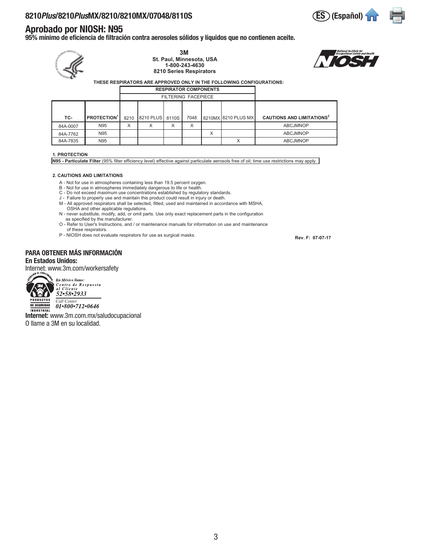### Aprobado por NIOSH: N95

95% mínimo de eficiencia de filtración contra aerosoles sólidos y líquidos que no contienen aceite.

| 3M<br>St. Paul, Minnesota, USA<br>1-800-243-4630<br>8210 Series Respirators<br>THESE RESPIRATORS ARE APPROVED ONLY IN THE FOLLOWING CONFIGURATIONS: |                               |      |           |       |                            |   |                     |                                             |  |  |
|-----------------------------------------------------------------------------------------------------------------------------------------------------|-------------------------------|------|-----------|-------|----------------------------|---|---------------------|---------------------------------------------|--|--|
|                                                                                                                                                     |                               |      |           |       |                            |   |                     |                                             |  |  |
|                                                                                                                                                     |                               |      |           |       | <b>FILTERING FACEPIECE</b> |   |                     |                                             |  |  |
|                                                                                                                                                     |                               |      |           |       |                            |   |                     |                                             |  |  |
| TC-                                                                                                                                                 | <b>PROTECTION<sup>1</sup></b> | 8210 | 8210 PLUS | 8110S | 7048                       |   | 8210MX 8210 PLUS MX | <b>CAUTIONS AND LIMITATIONS<sup>2</sup></b> |  |  |
| 84A-0007                                                                                                                                            | N95                           | X    | X         | X     | X                          |   |                     | <b>ABCJMNOP</b>                             |  |  |
| 84A-7762                                                                                                                                            | N95                           |      |           |       |                            | X |                     | <b>ABCJMNOP</b>                             |  |  |
| 84A-7835                                                                                                                                            | N95                           |      |           |       |                            |   | X                   | <b>ABCJMNOP</b>                             |  |  |
|                                                                                                                                                     |                               |      |           |       |                            |   |                     |                                             |  |  |

#### **1. PROTECTION**

**N95 - Particulate Filter** (95% filter efficiency level) effective against particulate aerosols free of oil; time use restrictions may apply.

#### **2. CAUTIONS AND LIMITATIONS**

- A Not for use in atmospheres containing less than 19.5 percent oxygen.
- 
- B Not for use in atmospheres immediately dangerous to life or health.<br>C Do not exceed maximum use concentrations established by regulatory standards.<br>J Failure to properly use and maintain this product could result
- 
- M All approved respirators shall be selected, fitted, used and maintained in accordance with MSHA, OSHA and other applicable regulations.
- N never substitute, modify, add, or omit parts. Use only exact replacement parts in the configuration as specified by the manufacturer.
- O Refer to User's Instructions, and / or maintenance manuals for information on use and maintenance of these respirators.
- P NIOSH does not evaluate respirators for use as surgical masks.

#### PARA OBTENER MÁS INFORMACIÓN En Estados Unidos:

Internet: www.3m.com/workersafety



En México llame: *Centro de Respuesta<br>al Cliente<br>52•58•2933* 

**PRODUCTOS** *Call Center*<br>**DE SEGURIDAD** *O1***•800•712•0646 INDUSTRIAL** 

Internet: www.3m.com.mx/saludocupacional O llame a 3M en su localidad.

 **Rev. F: 07-07-17**



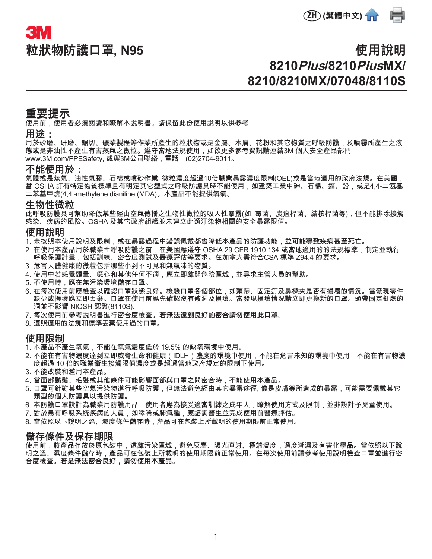

# **粒狀物防護口罩, N95 3M**

# **使用說明 8210Plus/8210PlusMX/ 8210/8210MX/07048/8110S**

## **重要提示**

使用前,使用者必須閱讀和瞭解本說明書。請保留此份使用說明以供參考

#### **用途:**

用於砂磨、研磨、鋸切、礦業製程等作業所產生的粒狀物或是金屬、木屑、花粉和其它物質之呼吸防護,及噴霧所產生之液 態或是非油性不產生有害蒸氣之微粒。遵守當地法規使用,如欲更多參考資訊請連結3M 個人安全產品部門 www.3M.com/PPESafety, 或與3M公司聯絡,電話:(02)2704-9011。

#### **不能使用於:**

氣體或是蒸氣、油性氣膠、石棉或噴砂作業; 微粒濃度超過10倍職業暴露濃度限制(OEL)或是當地適用的政府法規。在美國, 當 OSHA 訂有特定物質標準且有明定其它型式之呼吸防護具時不能使用,如建築工業中砷、石棉、鎘、鉛,或是4.4-二氨基 二苯基甲烷(4,4'-methylene dianiline (MDA)。本產品不能提供氧氣。

#### **生物性微粒**

此呼吸防護具可幫助降低某些經由空氣傳播之生物性微粒的吸入性暴露(如, 霉菌、炭疽桿菌、結核桿菌等),但不能排除接觸 感染、疾病的風險。OSHA 及其它政府組織並未建立此類汙染物相關的安全暴露限值。

#### **使用說明**

- 1. 未按照本使用說明及限制,或在暴露過程中錯誤佩戴都會降低本產品的防護功能,並**可能導致疾病甚至死亡。**
- 2. 在使用本產品用於職業性呼吸防護之前,在美國應遵守 OSHA 29 CFR 1910.134 或當地適用的的法規標準,制定並執行 呼吸保護計畫,包括訓練、密合度測試及醫療評估等要求。在加拿大需符合CSA 標準 Z94.4 的要求。
- 3. 危害人體健康的微粒包括哪些小到不可見和無氣味的物質。
- 4. 使用中若感覺頭暈、噁心和其他任何不適,應立即離開危險區域,並尋求主管人員的幫助。
- 5. 不使用時,應在無污染環境儲存口罩。
- 6. 在每次使用前應檢查以確認口罩狀態良好。檢驗口罩各個部位,如頭帶、固定釘及鼻樑夾是否有損壞的情況。當發現零件 缺少或損壞應立即丟棄。口罩在使用前應先確認沒有破洞及損壞。當發現損壞情況請立即更換新的口罩。頭帶固定釘處的 洞並不影響 NIOSH 認證(8110S).
- 7. 每次使用前參考說明書進行密合度檢查。**若無法達到良好的密合請勿使用此口罩。**
- 8. 遵照適用的法規和標準丟棄使用過的口罩。

#### **使用限制**

- 1. 本產品不產生氧氣,不能在氧氣濃度低於 19.5% 的缺氧環境中使用。
- 2. 不能在有害物濃度達到立即威脅生命和健康(IDLH)濃度的環境中使用,不能在危害未知的環境中使用,不能在有害物濃 度超過 10 倍的職業衛生接觸限值濃度或是超過當地政府規定的限制下使用。
- 3. 不能改裝和濫用本產品。
- 4. 當面部鬍鬚、毛髮或其他條件可能影響面部與口罩之間密合時,不能使用本產品。
- 5. 口罩可針對其些空氣污染物進行呼吸防護,但無法避免經由其它暴露途徑, 像是皮膚等所造成的暴露,可能需要佩戴其它 類型的個人防護具以提供防護。
- 6. 本防護口罩設計為職業用防護用品,使用者應為接受適當訓練之成年人,瞭解使用方式及限制,並非設計予兒童使用。
- 7. 對於患有呼吸系統疾病的人員,如哮喘或肺氣腫,應諮詢醫生並完成使用前醫療評估。
- 8. 當依照以下說明之溫、濕度條件儲存時,產品可在包裝上所載明的使用期限前正常使用。

#### **儲存條件及保存期限**

使用前,將產品存放於原包裝中,遠離污染區域,避免灰塵、陽光直射、極端溫度,過度潮濕及有害化學品。當依照以下說 明之溫、濕度條件儲存時,產品可在包裝上所載明的使用期限前正常使用。在每次使用前請參考使用說明檢查口罩並進行密 合度檢查。**若是無法密合良好,請勿使用本產品。**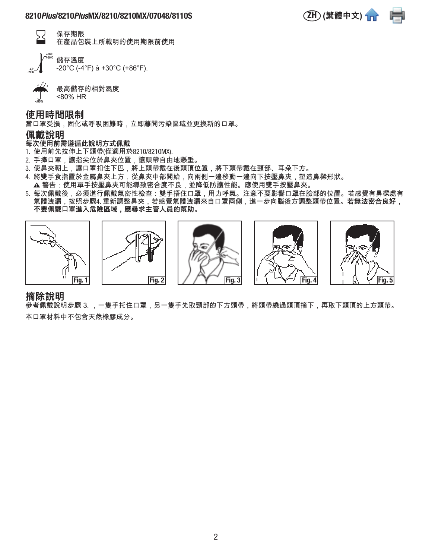

ワ 保存期限 在產品包裝上所載明的使用期限前使用

-4˚F -20˚C +86˚F +30˚C 儲存溫度

-20°C (-4°F) à +30°C (+86°F).

最高儲存的相對濕度 <80% HR

**使用時間限制**

當口罩受損,固化或呼吸困難時,立即離開污染區域並更換新的口罩。

#### **佩戴說明**

<80%

#### **每次使用前需遵循此說明方式佩戴**

- 1. 使用前先拉伸上下頭帶(僅適用於8210/8210MX).
- 2. 手捧口罩,讓指尖位於鼻夾位置,讓頭帶自由地懸垂。
- 3. 使鼻夾朝上,讓口罩扣住下巴,將上頭帶戴在後頭頂位置,將下頭帶戴在頸部、耳朵下方。
- 4. 將雙手食指置於金屬鼻夾上方,從鼻夾中部開始,向兩側一邊移動一邊向下按壓鼻夾,塑造鼻樑形狀。
- ▲ 警告:使用單手按壓鼻夾可能導致密合度不良,並降低防護性能。應使用雙手按壓鼻夾。
- 5. 每次佩戴後,必須進行佩戴氣密性檢查:雙手捂住口罩,用力呼氣。注意不要影響口罩在臉部的位置。若感覺有鼻樑處有 氣體洩漏,按照步驟4. 重新調整鼻夾,若感覺氣體洩漏來自口罩兩側,進一步向腦後方調整頭帶位置。**若無法密合良好, 不要佩戴口罩進入危險區域,應尋求主管人員的幫助。**



#### **摘除說明**

參考佩戴說明步驟 3. ,一隻手托住口罩,另一隻手先取頸部的下方頭帶,將頭帶繞過頭頂摘下,再取下頭頂的上方頭帶。 本口罩材料中不包含天然橡膠成分。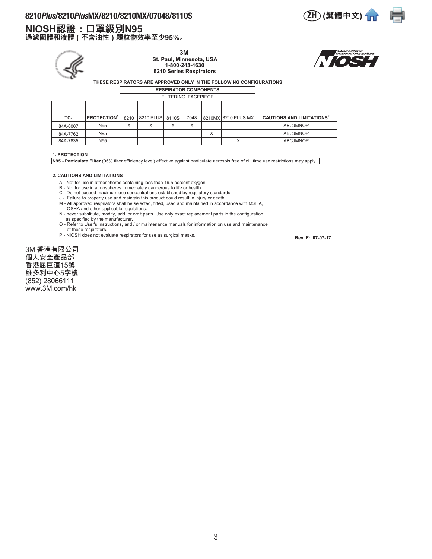#### 8210*Plus*/8210*Plus*MX/8210/8210MX/07048/8110S (ZH) (繁體中文) 1m

# **NIOSH認證:口罩級別N95**

**過濾固體和液體(不含油性)顆粒物效率至少95%。**



**3M St. Paul, Minnesota, USA 1-800-243-4630**

**8210 Series Respirators**





 **THESE RESPIRATORS ARE APPROVED ONLY IN THE FOLLOWING CONFIGURATIONS:**

|          |                               |                   |                            | <b>RESPIRATOR COMPONENTS</b> |      |   |                     |                                             |
|----------|-------------------------------|-------------------|----------------------------|------------------------------|------|---|---------------------|---------------------------------------------|
|          |                               |                   | <b>FILTERING FACEPIECE</b> |                              |      |   |                     |                                             |
|          |                               |                   |                            |                              |      |   |                     |                                             |
| TC-      | <b>PROTECTION<sup>1</sup></b> | 8210              | 8210 PLUS 8110S            |                              | 7048 |   | 8210MX 8210 PLUS MX | <b>CAUTIONS AND LIMITATIONS<sup>2</sup></b> |
| 84A-0007 | N95                           | $\checkmark$<br>v |                            | ᄉ                            | X    |   |                     | <b>ABCJMNOP</b>                             |
| 84A-7762 | N95                           |                   |                            |                              |      | X |                     | <b>ABCJMNOP</b>                             |
| 84A-7835 | N95                           |                   |                            |                              |      |   | $\checkmark$        | <b>ABCJMNOP</b>                             |

#### **1. PROTECTION**

**N95 - Particulate Filter** (95% filter efficiency level) effective against particulate aerosols free of oil; time use restrictions may apply.

#### **2. CAUTIONS AND LIMITATIONS**

- A Not for use in atmospheres containing less than 19.5 percent oxygen.
- 
- 
- B Not for use in atmospheres immediately dangerous to life or health.<br>C Do not exceed maximum use concentrations established by regulatory standards.<br>J Failure to properly use and maintain this product could result
- M All approved respirators shall be selected, fitted, used and maintained in accordance with MSHA, OSHA and other applicable regulations.
- N never substitute, modify, add, or omit parts. Use only exact replacement parts in the configuration as specified by the manufacturer.
- O Refer to User's Instructions, and / or maintenance manuals for information on use and maintenance of these respirators.
- P NIOSH does not evaluate respirators for use as surgical masks.

 **Rev. F: 07-07-17**

3M 香港有限公司 個人安全產品部 香港屈臣道15號 維多利中心5字樓 (852) 28066111 www.3M.com/hk

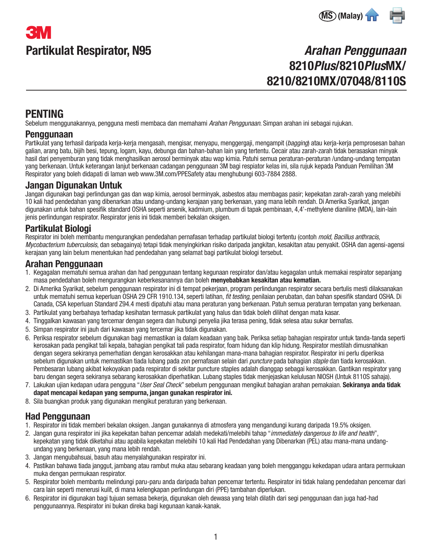# Partikulat Respirator, N95 **3M**



# Arahan Penggunaan 8210Plus/8210PlusMX/ 8210/8210MX/07048/8110S

# PENTING

Sebelum menggunakannya, pengguna mesti membaca dan memahami Arahan Penggunaan. Simpan arahan ini sebagai rujukan.

#### Penggunaan

Partikulat yang terhasil daripada kerja-kerja mengasah, mengisar, menyapu, menggergaji, mengampit (bagging) atau kerja-kerja pemprosesan bahan galian, arang batu, bijih besi, tepung, logam, kayu, debunga dan bahan-bahan lain yang tertentu. Cecair atau zarah-zarah tidak berasaskan minyak hasil dari penyemburan yang tidak menghasilkan aerosol berminyak atau wap kimia. Patuhi semua peraturan-peraturan /undang-undang tempatan yang berkenaan. Untuk keterangan lanjut berkenaan cadangan penggunaan 3M bagi respiator kelas ini, sila rujuk kepada Panduan Pemilihan 3M Respirator yang boleh didapati di laman web www.3M.com/PPESafety atau menghubungi 603-7884 2888.

### Jangan Digunakan Untuk

Jangan digunakan bagi perlindungan gas dan wap kimia, aerosol berminyak, asbestos atau membagas pasir; kepekatan zarah-zarah yang melebihi 10 kali had pendedahan yang dibenarkan atau undang-undang kerajaan yang berkenaan, yang mana lebih rendah. Di Amerika Syarikat, jangan digunakan untuk bahan spesifik standard OSHA seperti arsenik, kadmium, plumbum di tapak pembinaan, 4,4'-methylene dianiline (MDA), lain-lain jenis perlindungan respirator. Respirator jenis ini tidak memberi bekalan oksigen.

## Partikulat Biologi

Respirator ini boleh membantu mengurangkan pendedahan pernafasan terhadap partikulat biologi tertentu (contoh mold, Bacillus anthracis, Mycobacterium tuberculosis, dan sebagainya) tetapi tidak menyingkirkan risiko daripada jangkitan, kesakitan atau penyakit. OSHA dan agensi-agensi kerajaan yang lain belum menentukan had pendedahan yang selamat bagi partikulat biologi tersebut.

### Arahan Penggunaan

- 1. Kegagalan mematuhi semua arahan dan had penggunaan tentang kegunaan respirator dan/atau kegagalan untuk memakai respirator sepanjang masa pendedahan boleh mengurangkan keberkesanannya dan boleh menyebabkan kesakitan atau kematian.
- 2. Di Amerika Syarikat, sebelum penggunaan respirator ini di tempat pekerjaan, program perlindungan respirator secara bertulis mesti dilaksanakan untuk mematuhi semua keperluan OSHA 29 CFR 1910.134, seperti latihan, *fit testing*, penilaian perubatan, dan bahan spesifik standard OSHA. Di Canada, CSA keperluan Standard Z94.4 mesti dipatuhi atau mana peraturan yang berkenaan. Patuh semua peraturan tempatan yang berkenaan.
- 3. Partikulat yang berbahaya terhadap kesihatan termasuk partikulat yang halus dan tidak boleh dilihat dengan mata kasar.
- 4. Tinggalkan kawasan yang tercemar dengan segera dan hubungi penyelia jika terasa pening, tidak selesa atau sukar bernafas.
- 5. Simpan respirator ini jauh dari kawasan yang tercemar jika tidak digunakan.
- 6. Periksa respirator sebelum digunakan bagi memastikan ia dalam keadaan yang baik. Periksa setiap bahagian respirator untuk tanda-tanda seperti kerosakan pada pengikat tali kepala, bahagian pengikat tali pada respirator, foam hidung dan klip hidung. Respirator mestilah dimusnahkan dengan segera sekiranya pemerhatian dengan kerosakkan atau kehilangan mana-mana bahagian respirator. Respirator ini perlu diperiksa sebelum digunakan untuk memastikan tiada lubang pada zon pernafasan selain dari puncture pada bahagian staple dan tiada kerosakkan. Pembesaran lubang akibat kekoyakan pada respirator di sekitar puncture staples adalah dianggap sebagai kerosakkan. Gantikan respirator yang baru dengan segera sekiranya sebarang kerosakkan diperhatikan. Lubang staples tidak menjejaskan kelulusan NIOSH (Untuk 8110S sahaja).
- 7. Lakukan ujian kedapan udara pengguna "User Seal Check" sebelum penggunaan mengikut bahagian arahan pemakaian. Sekiranya anda tidak dapat mencapai kedapan yang sempurna, jangan gunakan respirator ini.
- 8. Sila buangkan produk yang digunakan mengikut peraturan yang berkenaan.

## Had Penggunaan

- 1. Respirator ini tidak memberi bekalan oksigen. Jangan gunakannya di atmosfera yang mengandungi kurang daripada 19.5% oksigen.
- 2. Jangan guna respirator ini jika kepekatan bahan pencemar adalah medekati/melebihi tahap "immediately dangerous to life and health", kepekatan yang tidak diketahui atau apabila kepekatan melebihi 10 kali Had Pendedahan yang Dibenarkan (PEL) atau mana-mana undangundang yang berkenaan, yang mana lebih rendah.
- 3. Jangan mengubahsuai, basuh atau menyalahgunakan respirator ini.
- 4. Pastikan bahawa tiada janggut, jambang atau rambut muka atau sebarang keadaan yang boleh mengganggu kekedapan udara antara permukaan muka dengan permukaan respirator.
- 5. Respirator boleh membantu melindungi paru-paru anda daripada bahan pencemar tertentu. Respirator ini tidak halang pendedahan pencemar dari cara lain seperti menerusi kulit, di mana kelengkapan perlindungan diri (PPE) tambahan diperlukan.
- 6. Respirator ini digunakan bagi tujuan semasa bekerja, digunakan oleh dewasa yang telah dilatih dari segi penggunaan dan juga had-had penggunaannya. Respirator ini bukan direka bagi kegunaan kanak-kanak.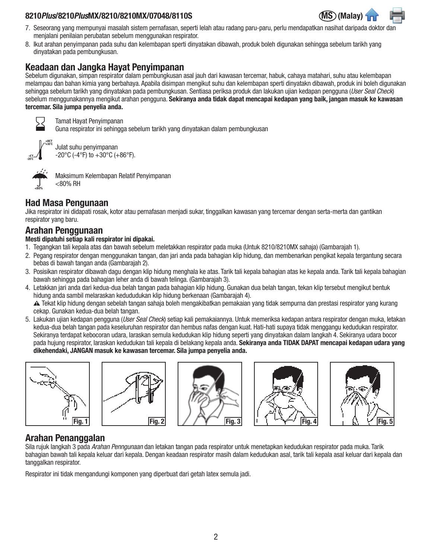#### 8210 Plus/8210 PlusMX/8210/8210MX/07048/8110S



- 7. Seseorang yang mempunyai masalah sistem pernafasan, seperti lelah atau radang paru-paru, perlu mendapatkan nasihat daripada doktor dan menjalani penilaian perubatan sebelum menggunakan respirator.
- 8. Ikut arahan penyimpanan pada suhu dan kelembapan sperti dinyatakan dibawah, produk boleh digunakan sehingga sebelum tarikh yang dinyatakan pada pembungkusan.

### Keadaan dan Jangka Hayat Penyimpanan

Sebelum digunakan, simpan respirator dalam pembungkusan asal jauh dari kawasan tercemar, habuk, cahaya matahari, suhu atau kelembapan melampau dan bahan kimia yang berbahaya. Apabila disimpan mengikut suhu dan kelembapan sperti dinyatakn dibawah, produk ini boleh digunakan sehingga sebelum tarikh yang dinyatakan pada pembungkusan. Sentiasa periksa produk dan lakukan ujian kedapan pengguna (User Seal Check) sebelum menggunakannya mengikut arahan pengguna. Sekiranya anda tidak dapat mencapai kedapan yang baik, jangan masuk ke kawasan tercemar. Sila jumpa penyelia anda.



+86˚F

Tamat Hayat Penyimpanan Guna respirator ini sehingga sebelum tarikh yang dinyatakan dalam pembungkusan

-4˚F -20˚C

+30˚C Julat suhu penyimpanan  $-20\textdegree$ C (-4 $\textdegree$ F) to  $+30\textdegree$ C (+86 $\textdegree$ F).



Maksimum Kelembapan Relatif Penyimpanan <80% RH

# Had Masa Pengunaan

Jika respirator ini didapati rosak, kotor atau pernafasan menjadi sukar, tinggalkan kawasan yang tercemar dengan serta-merta dan gantikan respirator yang baru.

## Arahan Penggunaan

#### Mesti dipatuhi setiap kali respirator ini dipakai.

- 1. Tegangkan tali kepala atas dan bawah sebelum meletakkan respirator pada muka (Untuk 8210/8210MX sahaja) (Gambarajah 1).
- 2. Pegang respirator dengan menggunakan tangan, dan jari anda pada bahagian klip hidung, dan membenarkan pengikat kepala tergantung secara bebas di bawah tangan anda (Gambarajah 2).
- 3. Posisikan respirator dibawah dagu dengan klip hidung menghala ke atas. Tarik tali kepala bahagian atas ke kepala anda. Tarik tali kepala bahagian bawah sehingga pada bahagian leher anda di bawah telinga. (Gambarajah 3).
- 4. Letakkan jari anda dari kedua-dua belah tangan pada bahagian klip hidung. Gunakan dua belah tangan, tekan klip tersebut mengikut bentuk hidung anda sambil melaraskan kedududukan klip hidung berkenaan (Gambarajah 4). W Tekat klip hidung dengan sebelah tangan sahaja boleh mengakibatkan pemakaian yang tidak sempurna dan prestasi respirator yang kurang cekap. Gunakan kedua-dua belah tangan.
- 5. Lakukan ujian kedapan pengguna (User Seal Check) setiap kali pemakaiannya. Untuk memeriksa kedapan antara respirator dengan muka, letakan kedua-dua belah tangan pada keseluruhan respirator dan hembus nafas dengan kuat. Hati-hati supaya tidak menggangu kedudukan respirator. Sekiranya terdapat kebocoran udara, laraskan semula kedudukan klip hidung seperti yang dinyatakan dalam langkah 4. Sekiranya udara bocor pada hujung respirator, laraskan kedudukan tali kepala di belakang kepala anda. Sekiranya anda TIDAK DAPAT mencapai kedapan udara yang dikehendaki, JANGAN masuk ke kawasan tercemar. Sila jumpa penyelia anda.











# Arahan Penanggalan

Sila rujuk langkah 3 pada Arahan Penngunaan dan letakan tangan pada respirator untuk menetapkan kedudukan respirator pada muka. Tarik bahagian bawah tali kepala keluar dari kepala. Dengan keadaan respirator masih dalam kedudukan asal, tarik tali kepala asal keluar dari kepala dan tanggalkan respirator.

Respirator ini tidak mengandungi komponen yang diperbuat dari getah latex semula jadi.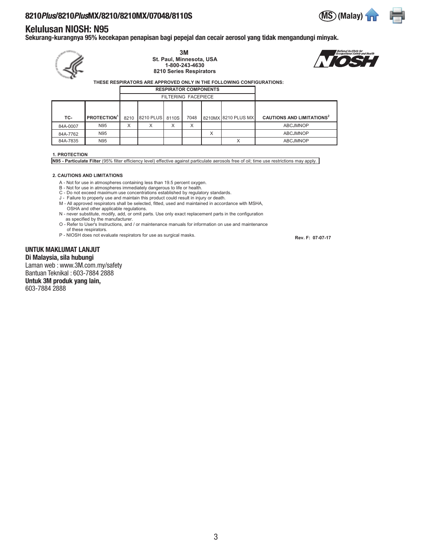# 8210 Plus/8210 PlusMX/8210/8210MX/07048/8110S

#### Kelulusan NIOSH: N95

Sekurang-kurangnya 95% kecekapan penapisan bagi pepejal dan cecair aerosol yang tidak mengandungi minyak. **3M**

|          |                               |      | St. Paul, Minnesota, USA<br>8210 Series Respirators | THESE RESPIRATORS ARE APPROVED ONLY IN THE FOLLOWING CONFIGURATIONS: | <i><b>Occupational S</b></i> |   |                     |                                             |  |  |  |
|----------|-------------------------------|------|-----------------------------------------------------|----------------------------------------------------------------------|------------------------------|---|---------------------|---------------------------------------------|--|--|--|
|          | <b>RESPIRATOR COMPONENTS</b>  |      |                                                     |                                                                      |                              |   |                     |                                             |  |  |  |
|          |                               |      |                                                     |                                                                      | <b>FILTERING FACEPIECE</b>   |   |                     |                                             |  |  |  |
|          |                               |      |                                                     |                                                                      |                              |   |                     |                                             |  |  |  |
| TC-      | <b>PROTECTION<sup>1</sup></b> | 8210 | 8210 PLUS                                           | 8110S                                                                | 7048                         |   | 8210MX 8210 PLUS MX | <b>CAUTIONS AND LIMITATIONS<sup>2</sup></b> |  |  |  |
| 84A-0007 | N95                           | X    | X                                                   | X                                                                    | X                            |   |                     | <b>ABCJMNOP</b>                             |  |  |  |
| 84A-7762 | N95                           |      |                                                     |                                                                      |                              | X |                     | <b>ABCJMNOP</b>                             |  |  |  |
| 84A-7835 | N95                           |      |                                                     |                                                                      |                              |   | X                   | <b>ABCJMNOP</b>                             |  |  |  |
|          |                               |      |                                                     |                                                                      |                              |   |                     |                                             |  |  |  |

#### **1. PROTECTION**

**N95 - Particulate Filter** (95% filter efficiency level) effective against particulate aerosols free of oil; time use restrictions may apply.

#### **2. CAUTIONS AND LIMITATIONS**

- A Not for use in atmospheres containing less than 19.5 percent oxygen.
- 
- B Not for use in atmospheres immediately dangerous to life or health.<br>C Do not exceed maximum use concentrations established by regulatory standards.<br>J Failure to properly use and maintain this product could result
- M All approved respirators shall be selected, fitted, used and maintained in accordance with MSHA,
- OSHA and other applicable regulations. N - never substitute, modify, add, or omit parts. Use only exact replacement parts in the configuration as specified by the manufacturer.
- O Refer to User's Instructions, and / or maintenance manuals for information on use and maintenance of these respirators.
- P NIOSH does not evaluate respirators for use as surgical masks.

UNTUK MAKLUMAT LANJUT Di Malaysia, sila hubungi Laman web : www.3M.com.my/safety Bantuan Teknikal : 603-7884 2888 Untuk 3M produk yang lain,

603-7884 2888